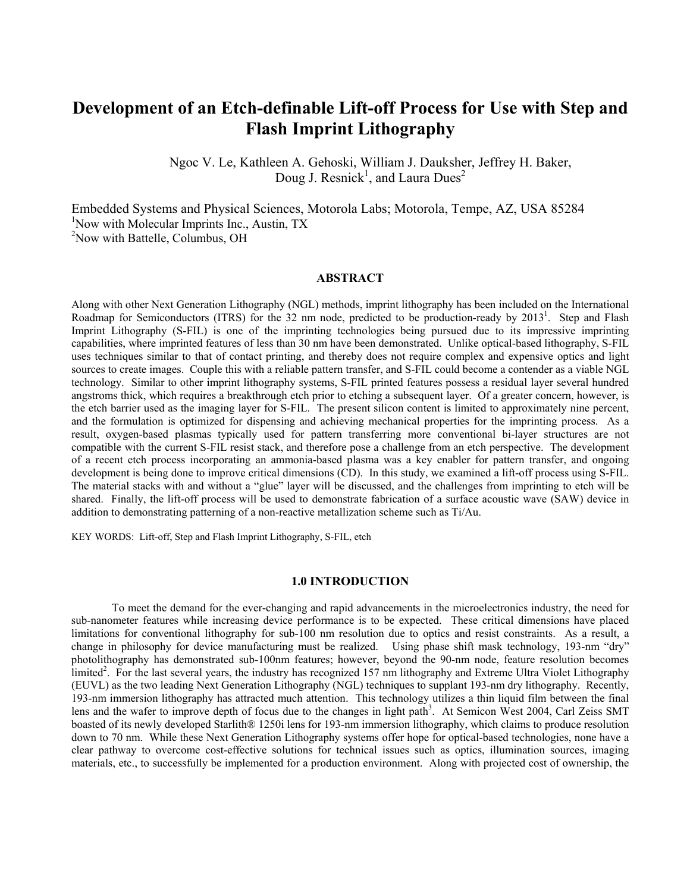# **Development of an Etch-definable Lift-off Process for Use with Step and Flash Imprint Lithography**

Ngoc V. Le, Kathleen A. Gehoski, William J. Dauksher, Jeffrey H. Baker, Doug J. Resnick<sup>1</sup>, and Laura Dues<sup>2</sup>

Embedded Systems and Physical Sciences, Motorola Labs; Motorola, Tempe, AZ, USA 85284 <sup>1</sup>Now with Molecular Imprints Inc., Austin, TX <sup>2</sup>Now with Battelle, Columbus, OH

# **ABSTRACT**

Along with other Next Generation Lithography (NGL) methods, imprint lithography has been included on the International Roadmap for Semiconductors (ITRS) for the 32 nm node, predicted to be production-ready by 2013<sup>1</sup>. Step and Flash Imprint Lithography (S-FIL) is one of the imprinting technologies being pursued due to its impressive imprinting capabilities, where imprinted features of less than 30 nm have been demonstrated. Unlike optical-based lithography, S-FIL uses techniques similar to that of contact printing, and thereby does not require complex and expensive optics and light sources to create images. Couple this with a reliable pattern transfer, and S-FIL could become a contender as a viable NGL technology. Similar to other imprint lithography systems, S-FIL printed features possess a residual layer several hundred angstroms thick, which requires a breakthrough etch prior to etching a subsequent layer. Of a greater concern, however, is the etch barrier used as the imaging layer for S-FIL. The present silicon content is limited to approximately nine percent, and the formulation is optimized for dispensing and achieving mechanical properties for the imprinting process. As a result, oxygen-based plasmas typically used for pattern transferring more conventional bi-layer structures are not compatible with the current S-FIL resist stack, and therefore pose a challenge from an etch perspective. The development of a recent etch process incorporating an ammonia-based plasma was a key enabler for pattern transfer, and ongoing development is being done to improve critical dimensions (CD). In this study, we examined a lift-off process using S-FIL. The material stacks with and without a "glue" layer will be discussed, and the challenges from imprinting to etch will be shared. Finally, the lift-off process will be used to demonstrate fabrication of a surface acoustic wave (SAW) device in addition to demonstrating patterning of a non-reactive metallization scheme such as Ti/Au.

KEY WORDS: Lift-off, Step and Flash Imprint Lithography, S-FIL, etch

## **1.0 INTRODUCTION**

To meet the demand for the ever-changing and rapid advancements in the microelectronics industry, the need for sub-nanometer features while increasing device performance is to be expected. These critical dimensions have placed limitations for conventional lithography for sub-100 nm resolution due to optics and resist constraints. As a result, a change in philosophy for device manufacturing must be realized. Using phase shift mask technology, 193-nm "dry" photolithography has demonstrated sub-100nm features; however, beyond the 90-nm node, feature resolution becomes limited<sup>2</sup>. For the last several years, the industry has recognized 157 nm lithography and Extreme Ultra Violet Lithography (EUVL) as the two leading Next Generation Lithography (NGL) techniques to supplant 193-nm dry lithography. Recently, 193-nm immersion lithography has attracted much attention. This technology utilizes a thin liquid film between the final lens and the wafer to improve depth of focus due to the changes in light path<sup>3</sup>. At Semicon West 2004, Carl Zeiss SMT boasted of its newly developed Starlith® 1250i lens for 193-nm immersion lithography, which claims to produce resolution down to 70 nm. While these Next Generation Lithography systems offer hope for optical-based technologies, none have a clear pathway to overcome cost-effective solutions for technical issues such as optics, illumination sources, imaging materials, etc., to successfully be implemented for a production environment. Along with projected cost of ownership, the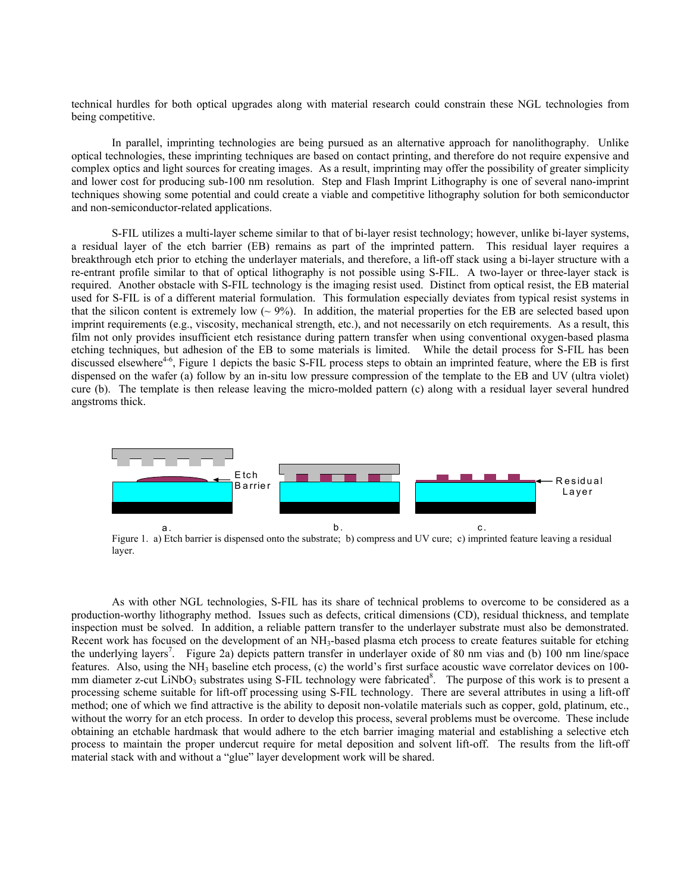technical hurdles for both optical upgrades along with material research could constrain these NGL technologies from being competitive.

In parallel, imprinting technologies are being pursued as an alternative approach for nanolithography. Unlike optical technologies, these imprinting techniques are based on contact printing, and therefore do not require expensive and complex optics and light sources for creating images. As a result, imprinting may offer the possibility of greater simplicity and lower cost for producing sub-100 nm resolution. Step and Flash Imprint Lithography is one of several nano-imprint techniques showing some potential and could create a viable and competitive lithography solution for both semiconductor and non-semiconductor-related applications.

S-FIL utilizes a multi-layer scheme similar to that of bi-layer resist technology; however, unlike bi-layer systems, a residual layer of the etch barrier (EB) remains as part of the imprinted pattern. This residual layer requires a breakthrough etch prior to etching the underlayer materials, and therefore, a lift-off stack using a bi-layer structure with a re-entrant profile similar to that of optical lithography is not possible using S-FIL. A two-layer or three-layer stack is required. Another obstacle with S-FIL technology is the imaging resist used. Distinct from optical resist, the EB material used for S-FIL is of a different material formulation. This formulation especially deviates from typical resist systems in that the silicon content is extremely low  $\sim$  9%). In addition, the material properties for the EB are selected based upon imprint requirements (e.g., viscosity, mechanical strength, etc.), and not necessarily on etch requirements. As a result, this film not only provides insufficient etch resistance during pattern transfer when using conventional oxygen-based plasma etching techniques, but adhesion of the EB to some materials is limited. While the detail process for S-FIL has been discussed elsewhere<sup>4-6</sup>, Figure 1 depicts the basic S-FIL process steps to obtain an imprinted feature, where the EB is first dispensed on the wafer (a) follow by an in-situ low pressure compression of the template to the EB and UV (ultra violet) cure (b). The template is then release leaving the micro-molded pattern (c) along with a residual layer several hundred angstroms thick.



Figure 1. a) Etch barrier is dispensed onto the substrate; b) compress and UV cure; c) imprinted feature leaving a residual layer.

As with other NGL technologies, S-FIL has its share of technical problems to overcome to be considered as a production-worthy lithography method. Issues such as defects, critical dimensions (CD), residual thickness, and template inspection must be solved. In addition, a reliable pattern transfer to the underlayer substrate must also be demonstrated. Recent work has focused on the development of an NH<sub>3</sub>-based plasma etch process to create features suitable for etching the underlying layers<sup>7</sup>. Figure 2a) depicts pattern transfer in underlayer oxide of 80 nm vias and (b) 100 nm line/space features. Also, using the NH3 baseline etch process, (c) the world's first surface acoustic wave correlator devices on 100 mm diameter z-cut LiNbO<sub>3</sub> substrates using S-FIL technology were fabricated<sup>8</sup>. The purpose of this work is to present a processing scheme suitable for lift-off processing using S-FIL technology. There are several attributes in using a lift-off method; one of which we find attractive is the ability to deposit non-volatile materials such as copper, gold, platinum, etc., without the worry for an etch process. In order to develop this process, several problems must be overcome. These include obtaining an etchable hardmask that would adhere to the etch barrier imaging material and establishing a selective etch process to maintain the proper undercut require for metal deposition and solvent lift-off. The results from the lift-off material stack with and without a "glue" layer development work will be shared.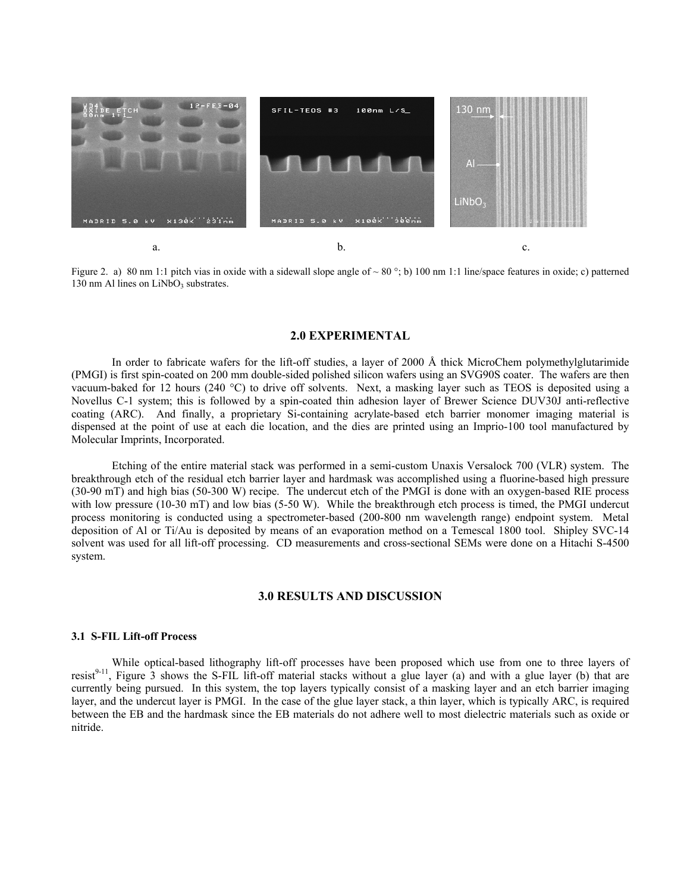



## **2.0 EXPERIMENTAL**

In order to fabricate wafers for the lift-off studies, a layer of 2000 Å thick MicroChem polymethylglutarimide (PMGI) is first spin-coated on 200 mm double-sided polished silicon wafers using an SVG90S coater. The wafers are then vacuum-baked for 12 hours (240 °C) to drive off solvents. Next, a masking layer such as TEOS is deposited using a Novellus C-1 system; this is followed by a spin-coated thin adhesion layer of Brewer Science DUV30J anti-reflective coating (ARC). And finally, a proprietary Si-containing acrylate-based etch barrier monomer imaging material is dispensed at the point of use at each die location, and the dies are printed using an Imprio-100 tool manufactured by Molecular Imprints, Incorporated.

Etching of the entire material stack was performed in a semi-custom Unaxis Versalock 700 (VLR) system. The breakthrough etch of the residual etch barrier layer and hardmask was accomplished using a fluorine-based high pressure (30-90 mT) and high bias (50-300 W) recipe. The undercut etch of the PMGI is done with an oxygen-based RIE process with low pressure (10-30 mT) and low bias (5-50 W). While the breakthrough etch process is timed, the PMGI undercut process monitoring is conducted using a spectrometer-based (200-800 nm wavelength range) endpoint system. Metal deposition of Al or Ti/Au is deposited by means of an evaporation method on a Temescal 1800 tool. Shipley SVC-14 solvent was used for all lift-off processing. CD measurements and cross-sectional SEMs were done on a Hitachi S-4500 system.

# **3.0 RESULTS AND DISCUSSION**

## **3.1 S-FIL Lift-off Process**

While optical-based lithography lift-off processes have been proposed which use from one to three layers of resist<sup>9-11</sup>. Figure  $\overline{3}$  shows the S-FIL lift-off material stacks without a glue layer (a) and with a glue layer (b) that are currently being pursued. In this system, the top layers typically consist of a masking layer and an etch barrier imaging layer, and the undercut layer is PMGI. In the case of the glue layer stack, a thin layer, which is typically ARC, is required between the EB and the hardmask since the EB materials do not adhere well to most dielectric materials such as oxide or nitride.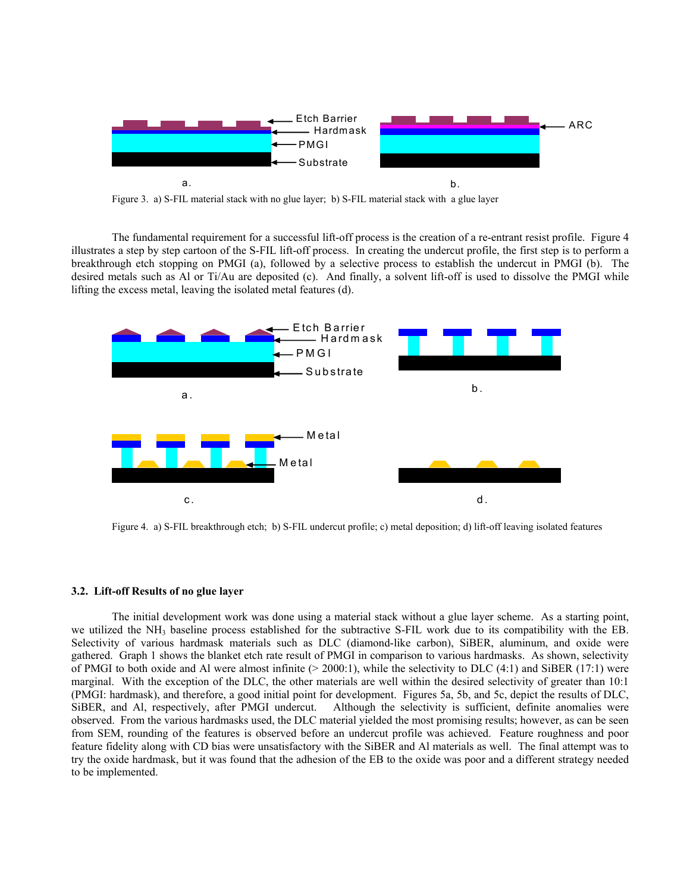

The fundamental requirement for a successful lift-off process is the creation of a re-entrant resist profile. Figure 4 illustrates a step by step cartoon of the S-FIL lift-off process. In creating the undercut profile, the first step is to perform a breakthrough etch stopping on PMGI (a), followed by a selective process to establish the undercut in PMGI (b). The desired metals such as Al or Ti/Au are deposited (c). And finally, a solvent lift-off is used to dissolve the PMGI while lifting the excess metal, leaving the isolated metal features (d).



Figure 4. a) S-FIL breakthrough etch; b) S-FIL undercut profile; c) metal deposition; d) lift-off leaving isolated features

#### **3.2. Lift-off Results of no glue layer**

The initial development work was done using a material stack without a glue layer scheme. As a starting point, we utilized the  $NH_3$  baseline process established for the subtractive S-FIL work due to its compatibility with the EB. Selectivity of various hardmask materials such as DLC (diamond-like carbon), SiBER, aluminum, and oxide were gathered. Graph 1 shows the blanket etch rate result of PMGI in comparison to various hardmasks. As shown, selectivity of PMGI to both oxide and Al were almost infinite  $(> 2000.1)$ , while the selectivity to DLC  $(4.1)$  and SiBER  $(17.1)$  were marginal. With the exception of the DLC, the other materials are well within the desired selectivity of greater than 10:1 (PMGI: hardmask), and therefore, a good initial point for development. Figures 5a, 5b, and 5c, depict the results of DLC, SiBER, and Al, respectively, after PMGI undercut. Although the selectivity is sufficient, definite anomalies were observed. From the various hardmasks used, the DLC material yielded the most promising results; however, as can be seen from SEM, rounding of the features is observed before an undercut profile was achieved. Feature roughness and poor feature fidelity along with CD bias were unsatisfactory with the SiBER and Al materials as well. The final attempt was to try the oxide hardmask, but it was found that the adhesion of the EB to the oxide was poor and a different strategy needed to be implemented.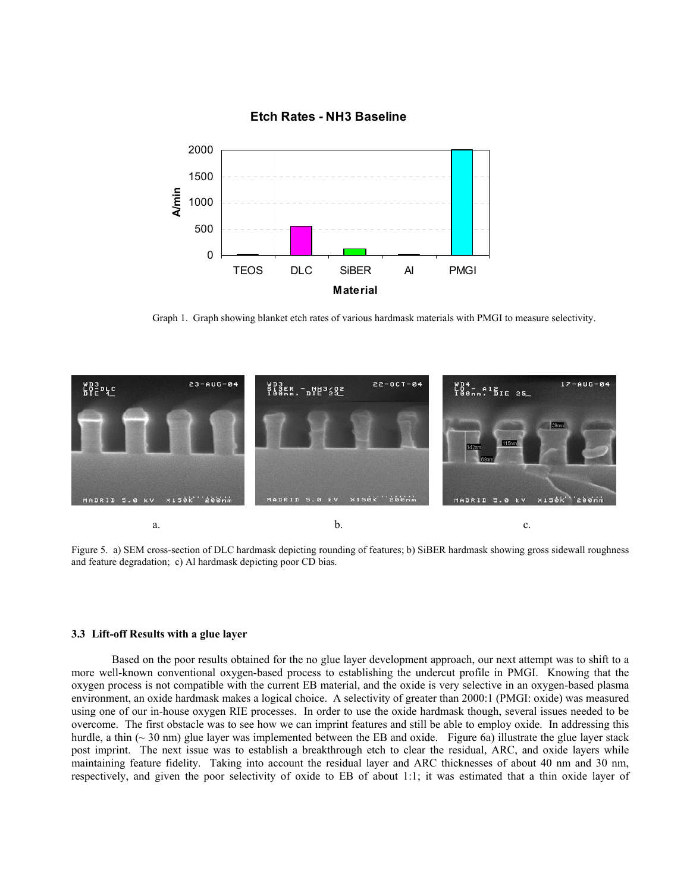

## **Etch Rates - NH3 Baseline**

Graph 1. Graph showing blanket etch rates of various hardmask materials with PMGI to measure selectivity.



Figure 5. a) SEM cross-section of DLC hardmask depicting rounding of features; b) SiBER hardmask showing gross sidewall roughness and feature degradation; c) Al hardmask depicting poor CD bias.

## **3.3 Lift-off Results with a glue layer**

Based on the poor results obtained for the no glue layer development approach, our next attempt was to shift to a more well-known conventional oxygen-based process to establishing the undercut profile in PMGI. Knowing that the oxygen process is not compatible with the current EB material, and the oxide is very selective in an oxygen-based plasma environment, an oxide hardmask makes a logical choice. A selectivity of greater than 2000:1 (PMGI: oxide) was measured using one of our in-house oxygen RIE processes. In order to use the oxide hardmask though, several issues needed to be overcome. The first obstacle was to see how we can imprint features and still be able to employ oxide. In addressing this hurdle, a thin (~30 nm) glue layer was implemented between the EB and oxide. Figure 6a) illustrate the glue layer stack post imprint. The next issue was to establish a breakthrough etch to clear the residual, ARC, and oxide layers while maintaining feature fidelity. Taking into account the residual layer and ARC thicknesses of about 40 nm and 30 nm, respectively, and given the poor selectivity of oxide to EB of about 1:1; it was estimated that a thin oxide layer of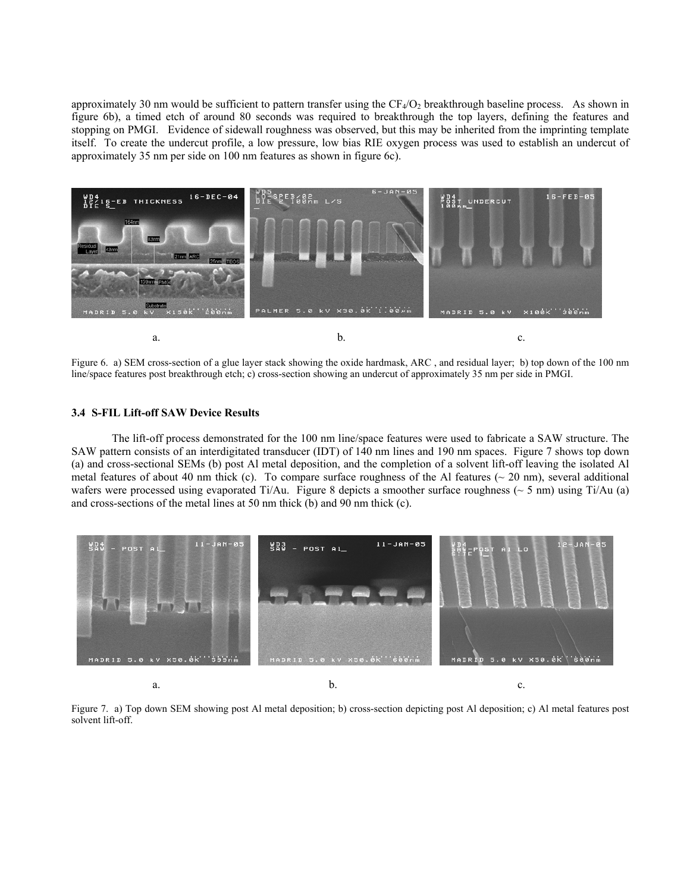approximately 30 nm would be sufficient to pattern transfer using the  $CF_4/O_2$  breakthrough baseline process. As shown in figure 6b), a timed etch of around 80 seconds was required to breakthrough the top layers, defining the features and stopping on PMGI. Evidence of sidewall roughness was observed, but this may be inherited from the imprinting template itself. To create the undercut profile, a low pressure, low bias RIE oxygen process was used to establish an undercut of approximately 35 nm per side on 100 nm features as shown in figure 6c).



Figure 6. a) SEM cross-section of a glue layer stack showing the oxide hardmask, ARC , and residual layer; b) top down of the 100 nm line/space features post breakthrough etch; c) cross-section showing an undercut of approximately 35 nm per side in PMGI.

## **3.4 S-FIL Lift-off SAW Device Results**

The lift-off process demonstrated for the 100 nm line/space features were used to fabricate a SAW structure. The SAW pattern consists of an interdigitated transducer (IDT) of 140 nm lines and 190 nm spaces. Figure 7 shows top down (a) and cross-sectional SEMs (b) post Al metal deposition, and the completion of a solvent lift-off leaving the isolated Al metal features of about 40 nm thick (c). To compare surface roughness of the Al features ( $\sim$  20 nm), several additional wafers were processed using evaporated Ti/Au. Figure 8 depicts a smoother surface roughness ( $\sim$  5 nm) using Ti/Au (a) and cross-sections of the metal lines at 50 nm thick (b) and 90 nm thick (c).



Figure 7. a) Top down SEM showing post Al metal deposition; b) cross-section depicting post Al deposition; c) Al metal features post solvent lift-off.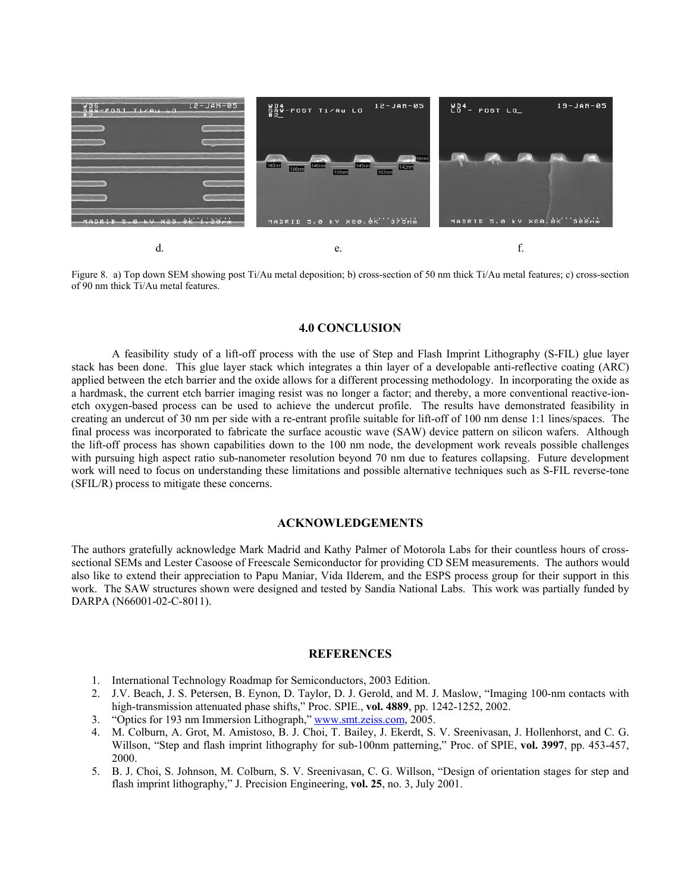

Figure 8. a) Top down SEM showing post Ti/Au metal deposition; b) cross-section of 50 nm thick Ti/Au metal features; c) cross-section of 90 nm thick Ti/Au metal features.

## **4.0 CONCLUSION**

A feasibility study of a lift-off process with the use of Step and Flash Imprint Lithography (S-FIL) glue layer stack has been done. This glue layer stack which integrates a thin layer of a developable anti-reflective coating (ARC) applied between the etch barrier and the oxide allows for a different processing methodology. In incorporating the oxide as a hardmask, the current etch barrier imaging resist was no longer a factor; and thereby, a more conventional reactive-ionetch oxygen-based process can be used to achieve the undercut profile. The results have demonstrated feasibility in creating an undercut of 30 nm per side with a re-entrant profile suitable for lift-off of 100 nm dense 1:1 lines/spaces. The final process was incorporated to fabricate the surface acoustic wave (SAW) device pattern on silicon wafers. Although the lift-off process has shown capabilities down to the 100 nm node, the development work reveals possible challenges with pursuing high aspect ratio sub-nanometer resolution beyond 70 nm due to features collapsing. Future development work will need to focus on understanding these limitations and possible alternative techniques such as S-FIL reverse-tone (SFIL/R) process to mitigate these concerns.

## **ACKNOWLEDGEMENTS**

The authors gratefully acknowledge Mark Madrid and Kathy Palmer of Motorola Labs for their countless hours of crosssectional SEMs and Lester Casoose of Freescale Semiconductor for providing CD SEM measurements. The authors would also like to extend their appreciation to Papu Maniar, Vida Ilderem, and the ESPS process group for their support in this work. The SAW structures shown were designed and tested by Sandia National Labs. This work was partially funded by DARPA (N66001-02-C-8011).

#### **REFERENCES**

- 1. International Technology Roadmap for Semiconductors, 2003 Edition.
- 2. J.V. Beach, J. S. Petersen, B. Eynon, D. Taylor, D. J. Gerold, and M. J. Maslow, "Imaging 100-nm contacts with high-transmission attenuated phase shifts," Proc. SPIE., **vol. 4889**, pp. 1242-1252, 2002.
- 3. "Optics for 193 nm Immersion Lithograph," [www.smt.zeiss.com](http://www.smt.zeiss.com/), 2005.
- 4. M. Colburn, A. Grot, M. Amistoso, B. J. Choi, T. Bailey, J. Ekerdt, S. V. Sreenivasan, J. Hollenhorst, and C. G. Willson, "Step and flash imprint lithography for sub-100nm patterning," Proc. of SPIE, **vol. 3997**, pp. 453-457, 2000.
- 5. B. J. Choi, S. Johnson, M. Colburn, S. V. Sreenivasan, C. G. Willson, "Design of orientation stages for step and flash imprint lithography," J. Precision Engineering, **vol. 25**, no. 3, July 2001.